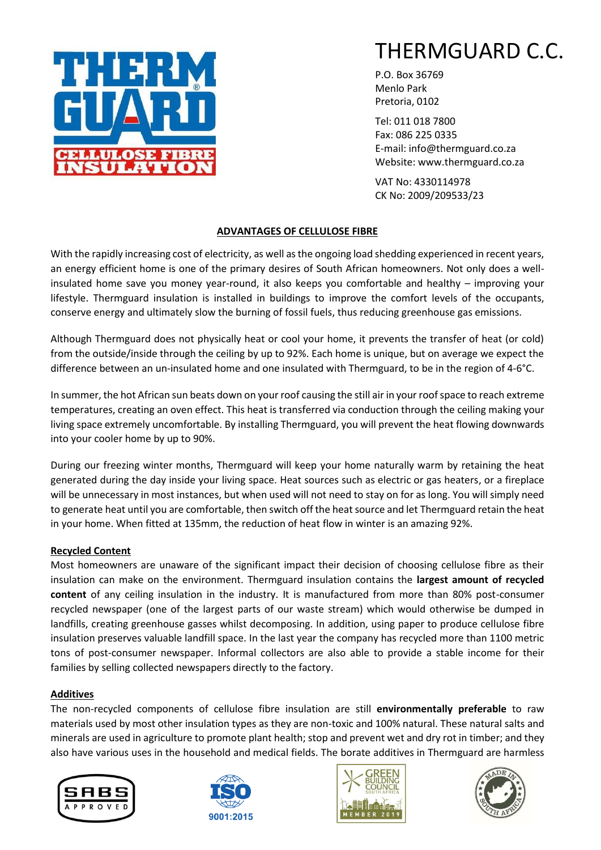

P.O. Box 36769 Menlo Park Pretoria, 0102

Tel: 011 018 7800 Fax: 086 225 0335 E-mail: info@thermguard.co.za Website: www.thermguard.co.za

VAT No: 4330114978 CK No: 2009/209533/23

# **ADVANTAGES OF CELLULOSE FIBRE**

With the rapidly increasing cost of electricity, as well as the ongoing load shedding experienced in recent years, an energy efficient home is one of the primary desires of South African homeowners. Not only does a wellinsulated home save you money year-round, it also keeps you comfortable and healthy – improving your lifestyle. Thermguard insulation is installed in buildings to improve the comfort levels of the occupants, conserve energy and ultimately slow the burning of fossil fuels, thus reducing greenhouse gas emissions.

Although Thermguard does not physically heat or cool your home, it prevents the transfer of heat (or cold) from the outside/inside through the ceiling by up to 92%. Each home is unique, but on average we expect the difference between an un-insulated home and one insulated with Thermguard, to be in the region of 4-6°C.

In summer, the hot African sun beats down on your roof causing the still air in your roof space to reach extreme temperatures, creating an oven effect. This heat is transferred via conduction through the ceiling making your living space extremely uncomfortable. By installing Thermguard, you will prevent the heat flowing downwards into your cooler home by up to 90%.

During our freezing winter months, Thermguard will keep your home naturally warm by retaining the heat generated during the day inside your living space. Heat sources such as electric or gas heaters, or a fireplace will be unnecessary in most instances, but when used will not need to stay on for as long. You will simply need to generate heat until you are comfortable, then switch off the heat source and let Thermguard retain the heat in your home. When fitted at 135mm, the reduction of heat flow in winter is an amazing 92%.

# **Recycled Content**

Most homeowners are unaware of the significant impact their decision of choosing cellulose fibre as their insulation can make on the environment. Thermguard insulation contains the **largest amount of recycled content** of any ceiling insulation in the industry. It is manufactured from more than 80% post-consumer recycled newspaper (one of the largest parts of our waste stream) which would otherwise be dumped in landfills, creating greenhouse gasses whilst decomposing. In addition, using paper to produce cellulose fibre insulation preserves valuable landfill space. In the last year the company has recycled more than 1100 metric tons of post-consumer newspaper. Informal collectors are also able to provide a stable income for their families by selling collected newspapers directly to the factory.

# **Additives**

The non-recycled components of cellulose fibre insulation are still **environmentally preferable** to raw materials used by most other insulation types as they are non-toxic and 100% natural. These natural salts and minerals are used in agriculture to promote plant health; stop and prevent wet and dry rot in timber; and they also have various uses in the household and medical fields. The borate additives in Thermguard are harmless







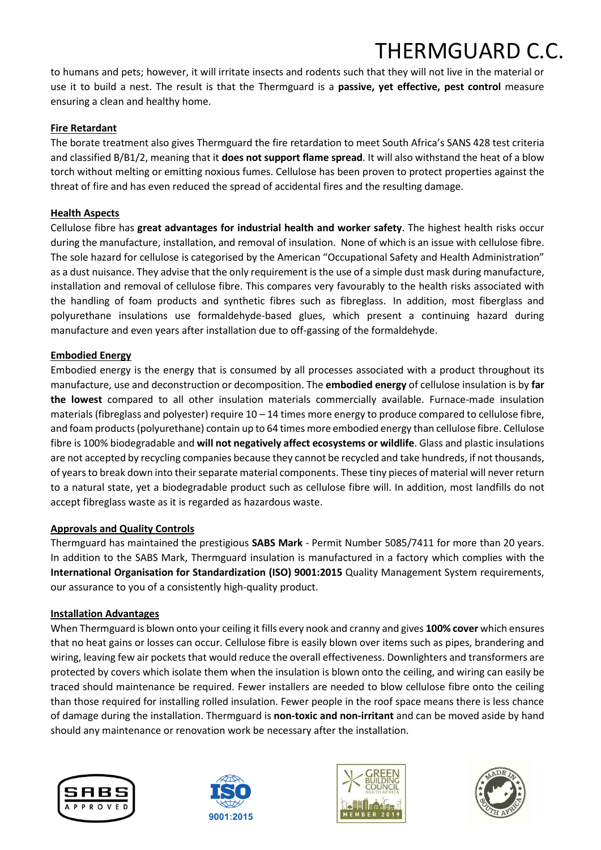# THERMGUARD C.C.

to humans and pets; however, it will irritate insects and rodents such that they will not live in the material or use it to build a nest. The result is that the Thermguard is a **passive, yet effective, pest control** measure ensuring a clean and healthy home.

# **Fire Retardant**

The borate treatment also gives Thermguard the fire retardation to meet South Africa's SANS 428 test criteria and classified B/B1/2, meaning that it **does not support flame spread**. It will also withstand the heat of a blow torch without melting or emitting noxious fumes. Cellulose has been proven to protect properties against the threat of fire and has even reduced the spread of accidental fires and the resulting damage.

### **Health Aspects**

Cellulose fibre has **great advantages for industrial health and worker safety**. The highest health risks occur during the manufacture, installation, and removal of insulation. None of which is an issue with cellulose fibre. The sole hazard for cellulose is categorised by the American "Occupational Safety and Health Administration" as a dust nuisance. They advise that the only requirement is the use of a simple dust mask during manufacture, installation and removal of cellulose fibre. This compares very favourably to the health risks associated with the handling of foam products and synthetic fibres such as fibreglass. In addition, most fiberglass and polyurethane insulations use formaldehyde-based glues, which present a continuing hazard during manufacture and even years after installation due to off-gassing of the formaldehyde.

# **Embodied Energy**

Embodied energy is the energy that is consumed by all processes associated with a product throughout its manufacture, use and deconstruction or decomposition. The **embodied energy** of cellulose insulation is by **far the lowest** compared to all other insulation materials commercially available. Furnace-made insulation materials (fibreglass and polyester) require 10 – 14 times more energy to produce compared to cellulose fibre, and foam products (polyurethane) contain up to 64 times more embodied energy than cellulose fibre. Cellulose fibre is 100% biodegradable and **will not negatively affect ecosystems or wildlife**. Glass and plastic insulations are not accepted by recycling companies because they cannot be recycled and take hundreds, if not thousands, of years to break down into their separate material components. These tiny pieces of material will never return to a natural state, yet a biodegradable product such as cellulose fibre will. In addition, most landfills do not accept fibreglass waste as it is regarded as hazardous waste.

# **Approvals and Quality Controls**

Thermguard has maintained the prestigious **SABS Mark** - Permit Number 5085/7411 for more than 20 years. In addition to the SABS Mark, Thermguard insulation is manufactured in a factory which complies with the **International Organisation for Standardization (ISO) 9001:2015** Quality Management System requirements, our assurance to you of a consistently high-quality product.

#### **Installation Advantages**

When Thermguard is blown onto your ceiling it fills every nook and cranny and gives **100% cover** which ensures that no heat gains or losses can occur. Cellulose fibre is easily blown over items such as pipes, brandering and wiring, leaving few air pockets that would reduce the overall effectiveness. Downlighters and transformers are protected by covers which isolate them when the insulation is blown onto the ceiling, and wiring can easily be traced should maintenance be required. Fewer installers are needed to blow cellulose fibre onto the ceiling than those required for installing rolled insulation. Fewer people in the roof space means there is less chance of damage during the installation. Thermguard is **non-toxic and non-irritant** and can be moved aside by hand should any maintenance or renovation work be necessary after the installation.